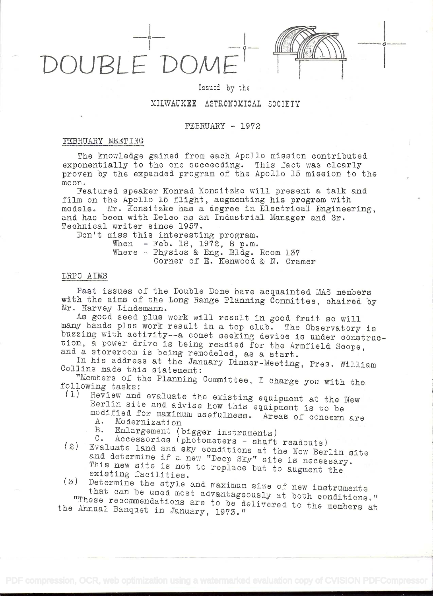OUBLE

## Issued by the

# MILWAUKEE ASTRONOMICAL SOCIETY

### $FEBRUARY - 1972$

### FEBRUARY MEETING

The knowledge gained from each Apollo mission contributed exponentially to the one succeeding. This fact was clearly proven by the expanded program of the Apollo 15 mission to the moon.

Featured speaker Konrad Konsitzke will present a talk and film on the Apollo 15 flight, augmenting his program with models. Mr. Konsitzke has a degree in Electrical Engineering, and has been with Delco as an Industrial Manager and Sr. Technical writer since 1957.

Don't miss this interesting program.

When - Feb. 18,  $19\overline{7}2$ , 8 p.m.<br>Where - Physics & Eng. Bldg. Room 137 Corner of E. Kenwood & N. Cramer

## LRPC AIMS

Past issues of the Double Dome have acquainted MAS members with the aims of the Long Range Planning Committee, chaired by Mr. Harvey Lindemann.

As good seed plus work will result in good fruit so will many hands plus work result in a top club. The Observatory is buzzing with activity--a comet seeking device is under construction, a power drive is being readied for the Armfield Scope. and a storeroom is being remodeled, as a start.

In his address at the January Dinner-Meeting, Pres. William Collins made this statement:

"Members of the Planning Committee, I charge you with the following tasks:

- (1) Review and evaluate the existing equipment at the New Berlin site and advise how this equipment is to be modified for maximum usefulness. Areas of concern are  $A_{\bullet}$ Modernization
	- $B$ .
	- Enlargement (bigger instruments)
- C. Accessories (photometers shaft readouts) (2) Evaluate land and sky conditions at the New Berlin site and determine if a new "Deep Sky" site is necessary. This new site is not to replace but to augment the existing facilities.

(3) Determine the style and maximum size of new instruments that can be used most advantageously at both conditions." "These recommendations are to be delivered to the members at the Annual Banquet in January, 1973."